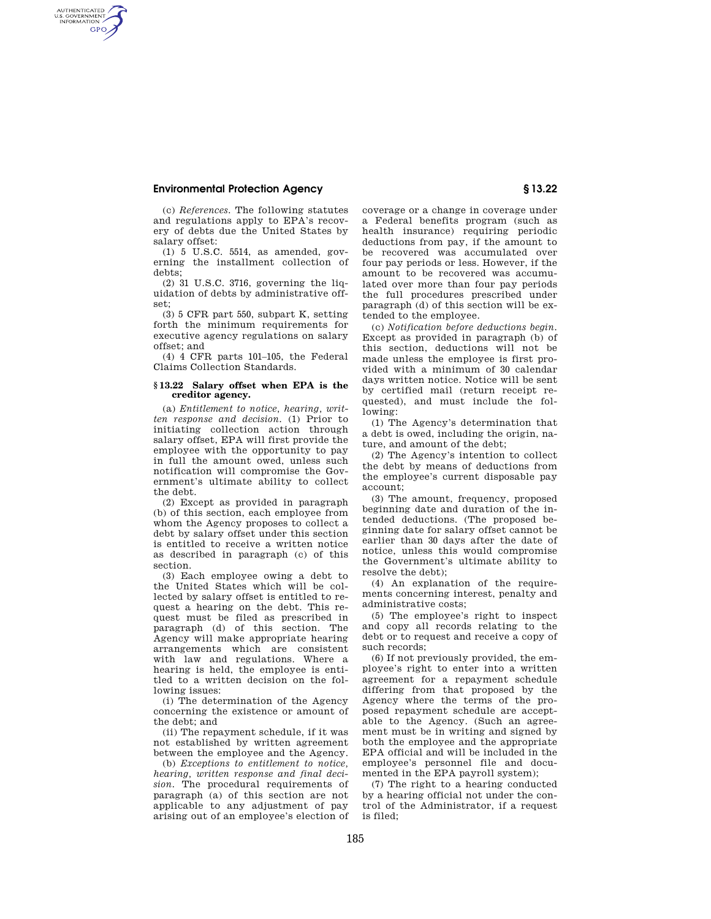## **Environmental Protection Agency § 13.22**

AUTHENTICATED<br>U.S. GOVERNMENT<br>INFORMATION **GPO** 

(c) *References.* The following statutes and regulations apply to EPA's recovery of debts due the United States by salary offset:

(1) 5 U.S.C. 5514, as amended, governing the installment collection of debts;

(2) 31 U.S.C. 3716, governing the liquidation of debts by administrative offset;

(3) 5 CFR part 550, subpart K, setting forth the minimum requirements for executive agency regulations on salary offset; and

(4) 4 CFR parts 101–105, the Federal Claims Collection Standards.

## **§ 13.22 Salary offset when EPA is the creditor agency.**

(a) *Entitlement to notice, hearing, written response and decision.* (1) Prior to initiating collection action through salary offset, EPA will first provide the employee with the opportunity to pay in full the amount owed, unless such notification will compromise the Government's ultimate ability to collect the debt.

(2) Except as provided in paragraph (b) of this section, each employee from whom the Agency proposes to collect a debt by salary offset under this section is entitled to receive a written notice as described in paragraph (c) of this section.

(3) Each employee owing a debt to the United States which will be collected by salary offset is entitled to request a hearing on the debt. This request must be filed as prescribed in paragraph (d) of this section. The Agency will make appropriate hearing arrangements which are consistent with law and regulations. Where a hearing is held, the employee is entitled to a written decision on the following issues:

(i) The determination of the Agency concerning the existence or amount of the debt; and

(ii) The repayment schedule, if it was not established by written agreement between the employee and the Agency.

(b) *Exceptions to entitlement to notice, hearing, written response and final decision.* The procedural requirements of paragraph (a) of this section are not applicable to any adjustment of pay arising out of an employee's election of coverage or a change in coverage under a Federal benefits program (such as health insurance) requiring periodic deductions from pay, if the amount to be recovered was accumulated over four pay periods or less. However, if the amount to be recovered was accumulated over more than four pay periods the full procedures prescribed under paragraph (d) of this section will be extended to the employee.

(c) *Notification before deductions begin.*  Except as provided in paragraph (b) of this section, deductions will not be made unless the employee is first provided with a minimum of 30 calendar days written notice. Notice will be sent by certified mail (return receipt requested), and must include the following:

(1) The Agency's determination that a debt is owed, including the origin, nature, and amount of the debt;

(2) The Agency's intention to collect the debt by means of deductions from the employee's current disposable pay account;

(3) The amount, frequency, proposed beginning date and duration of the intended deductions. (The proposed beginning date for salary offset cannot be earlier than 30 days after the date of notice, unless this would compromise the Government's ultimate ability to resolve the debt);

(4) An explanation of the requirements concerning interest, penalty and administrative costs;

(5) The employee's right to inspect and copy all records relating to the debt or to request and receive a copy of such records;

(6) If not previously provided, the employee's right to enter into a written agreement for a repayment schedule differing from that proposed by the Agency where the terms of the proposed repayment schedule are acceptable to the Agency. (Such an agreement must be in writing and signed by both the employee and the appropriate EPA official and will be included in the employee's personnel file and documented in the EPA payroll system);

(7) The right to a hearing conducted by a hearing official not under the control of the Administrator, if a request is filed;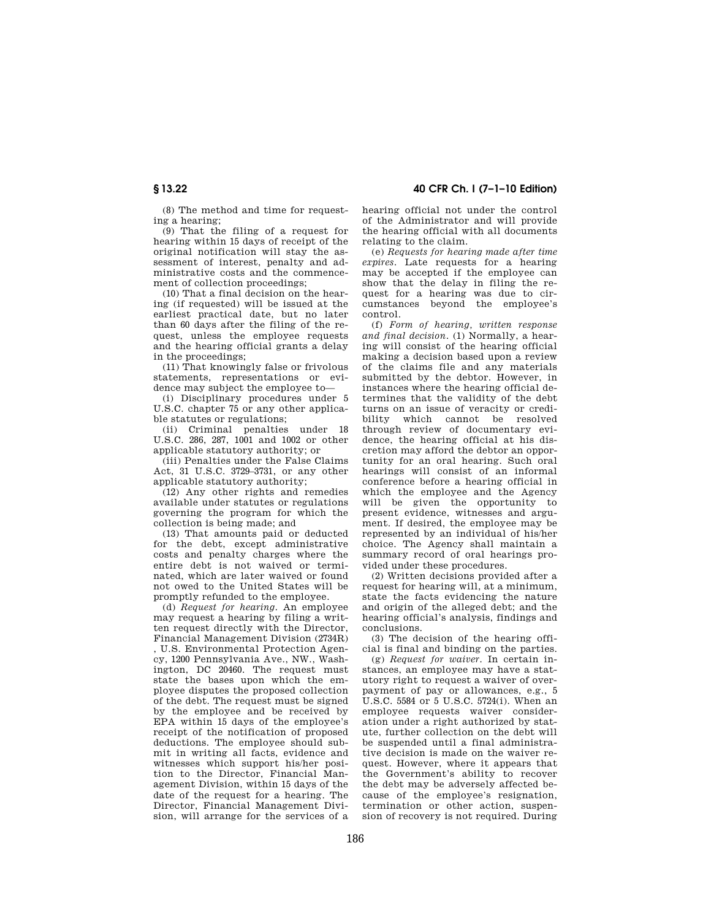**§ 13.22 40 CFR Ch. I (7–1–10 Edition)** 

(8) The method and time for requesting a hearing;

(9) That the filing of a request for hearing within 15 days of receipt of the original notification will stay the assessment of interest, penalty and administrative costs and the commencement of collection proceedings;

(10) That a final decision on the hearing (if requested) will be issued at the earliest practical date, but no later than 60 days after the filing of the request, unless the employee requests and the hearing official grants a delay in the proceedings;

(11) That knowingly false or frivolous statements, representations or evidence may subject the employee to—

(i) Disciplinary procedures under 5 U.S.C. chapter 75 or any other applicable statutes or regulations;

(ii) Criminal penalties under 18 U.S.C. 286, 287, 1001 and 1002 or other applicable statutory authority; or

(iii) Penalties under the False Claims Act, 31 U.S.C. 3729–3731, or any other applicable statutory authority;

(12) Any other rights and remedies available under statutes or regulations governing the program for which the collection is being made; and

(13) That amounts paid or deducted for the debt, except administrative costs and penalty charges where the entire debt is not waived or terminated, which are later waived or found not owed to the United States will be promptly refunded to the employee.

(d) *Request for hearing.* An employee may request a hearing by filing a written request directly with the Director, Financial Management Division (2734R)

, U.S. Environmental Protection Agency, 1200 Pennsylvania Ave., NW., Washington, DC 20460. The request must state the bases upon which the employee disputes the proposed collection of the debt. The request must be signed by the employee and be received by EPA within 15 days of the employee's receipt of the notification of proposed deductions. The employee should submit in writing all facts, evidence and witnesses which support his/her position to the Director, Financial Management Division, within 15 days of the date of the request for a hearing. The Director, Financial Management Division, will arrange for the services of a

hearing official not under the control of the Administrator and will provide the hearing official with all documents relating to the claim.

(e) *Requests for hearing made after time expires.* Late requests for a hearing may be accepted if the employee can show that the delay in filing the request for a hearing was due to circumstances beyond the employee's control.

(f) *Form of hearing, written response and final decision.* (1) Normally, a hearing will consist of the hearing official making a decision based upon a review of the claims file and any materials submitted by the debtor. However, in instances where the hearing official determines that the validity of the debt turns on an issue of veracity or credi-<br>bility which cannot be resolved which cannot be resolved through review of documentary evidence, the hearing official at his discretion may afford the debtor an opportunity for an oral hearing. Such oral hearings will consist of an informal conference before a hearing official in which the employee and the Agency will be given the opportunity to present evidence, witnesses and argument. If desired, the employee may be represented by an individual of his/her choice. The Agency shall maintain a summary record of oral hearings provided under these procedures.

(2) Written decisions provided after a request for hearing will, at a minimum. state the facts evidencing the nature and origin of the alleged debt; and the hearing official's analysis, findings and conclusions.

(3) The decision of the hearing official is final and binding on the parties.

(g) *Request for waiver.* In certain instances, an employee may have a statutory right to request a waiver of overpayment of pay or allowances, e.g., 5 U.S.C. 5584 or 5 U.S.C. 5724(i). When an employee requests waiver consideration under a right authorized by statute, further collection on the debt will be suspended until a final administrative decision is made on the waiver request. However, where it appears that the Government's ability to recover the debt may be adversely affected because of the employee's resignation, termination or other action, suspension of recovery is not required. During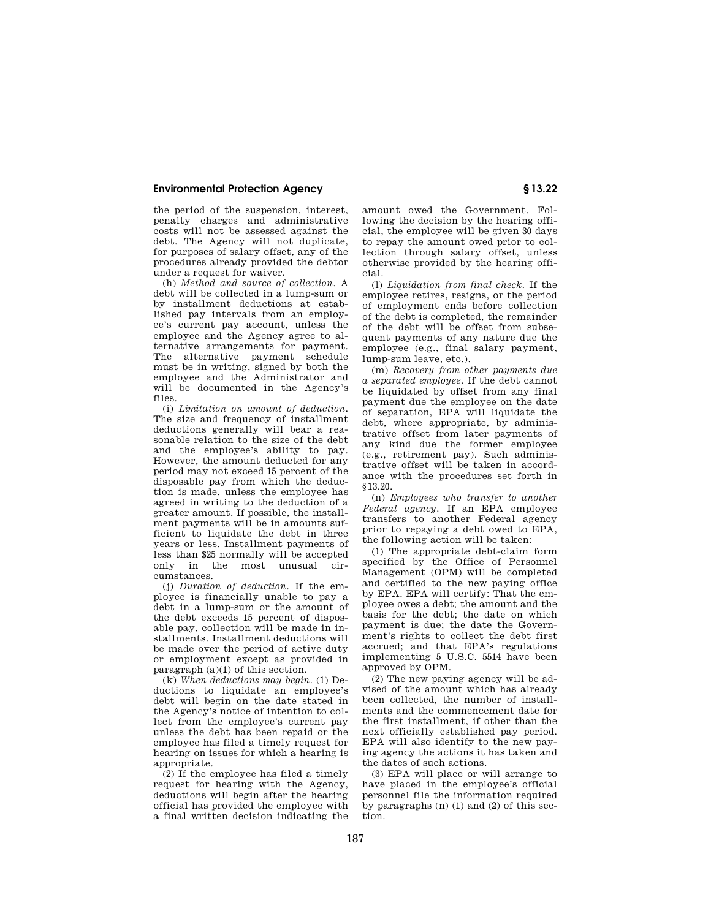## **Environmental Protection Agency § 13.22**

the period of the suspension, interest, penalty charges and administrative costs will not be assessed against the debt. The Agency will not duplicate, for purposes of salary offset, any of the procedures already provided the debtor under a request for waiver.

(h) *Method and source of collection.* A debt will be collected in a lump-sum or by installment deductions at established pay intervals from an employee's current pay account, unless the employee and the Agency agree to alternative arrangements for payment. The alternative payment schedule must be in writing, signed by both the employee and the Administrator and will be documented in the Agency's files.

(i) *Limitation on amount of deduction.*  The size and frequency of installment deductions generally will bear a reasonable relation to the size of the debt and the employee's ability to pay. However, the amount deducted for any period may not exceed 15 percent of the disposable pay from which the deduction is made, unless the employee has agreed in writing to the deduction of a greater amount. If possible, the installment payments will be in amounts sufficient to liquidate the debt in three years or less. Installment payments of less than \$25 normally will be accepted only in the most unusual circumstances.

(j) *Duration of deduction.* If the employee is financially unable to pay a debt in a lump-sum or the amount of the debt exceeds 15 percent of disposable pay, collection will be made in installments. Installment deductions will be made over the period of active duty or employment except as provided in paragraph (a)(1) of this section.

(k) *When deductions may begin.* (1) Deductions to liquidate an employee's debt will begin on the date stated in the Agency's notice of intention to collect from the employee's current pay unless the debt has been repaid or the employee has filed a timely request for hearing on issues for which a hearing is appropriate

(2) If the employee has filed a timely request for hearing with the Agency, deductions will begin after the hearing official has provided the employee with a final written decision indicating the amount owed the Government. Following the decision by the hearing official, the employee will be given 30 days to repay the amount owed prior to collection through salary offset, unless otherwise provided by the hearing official.

(l) *Liquidation from final check.* If the employee retires, resigns, or the period of employment ends before collection of the debt is completed, the remainder of the debt will be offset from subsequent payments of any nature due the employee (e.g., final salary payment, lump-sum leave, etc.).

(m) *Recovery from other payments due a separated employee.* If the debt cannot be liquidated by offset from any final payment due the employee on the date of separation, EPA will liquidate the debt, where appropriate, by administrative offset from later payments of any kind due the former employee (e.g., retirement pay). Such administrative offset will be taken in accordance with the procedures set forth in §13.20.

(n) *Employees who transfer to another Federal agency.* If an EPA employee transfers to another Federal agency prior to repaying a debt owed to EPA, the following action will be taken:

(1) The appropriate debt-claim form specified by the Office of Personnel Management (OPM) will be completed and certified to the new paying office by EPA. EPA will certify: That the employee owes a debt; the amount and the basis for the debt; the date on which payment is due; the date the Government's rights to collect the debt first accrued; and that EPA's regulations implementing 5 U.S.C. 5514 have been approved by OPM.

(2) The new paying agency will be advised of the amount which has already been collected, the number of installments and the commencement date for the first installment, if other than the next officially established pay period. EPA will also identify to the new paying agency the actions it has taken and the dates of such actions.

(3) EPA will place or will arrange to have placed in the employee's official personnel file the information required by paragraphs (n) (1) and (2) of this section.